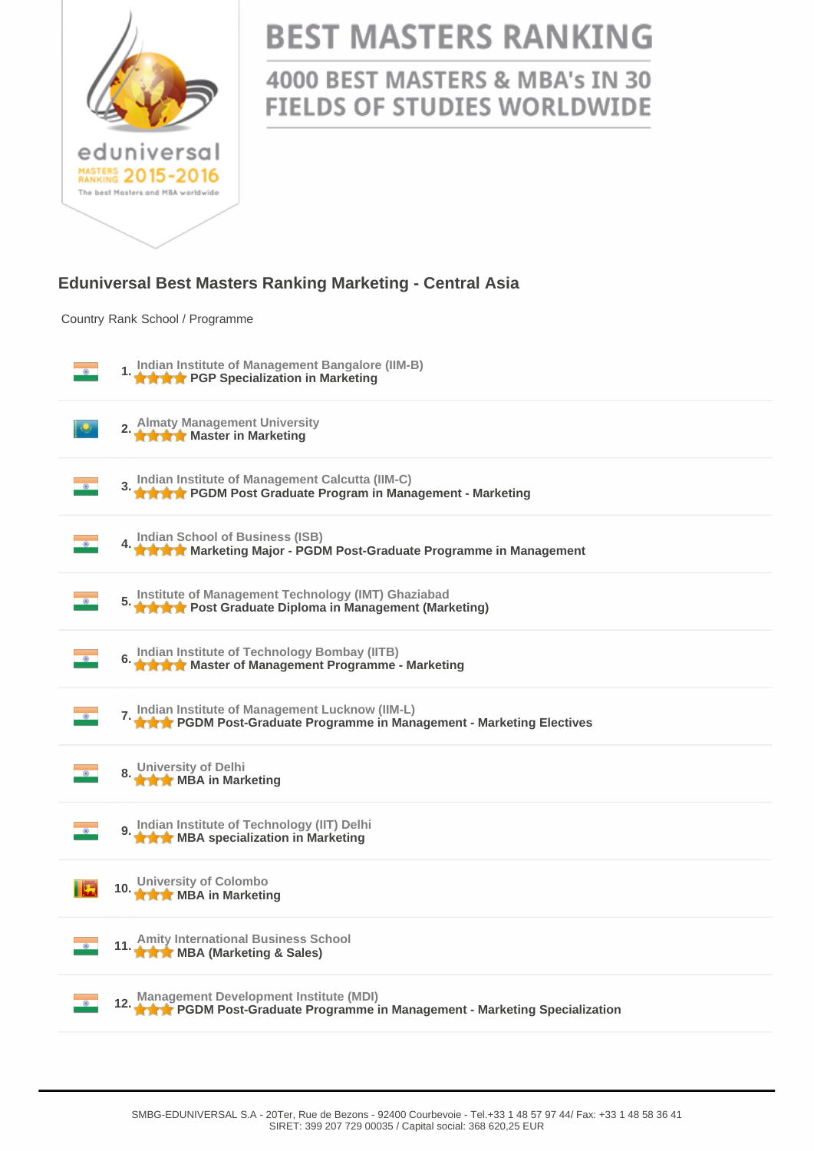

## **BEST MASTERS RANKING**

4000 BEST MASTERS & MBA's IN 30 **FIELDS OF STUDIES WORLDWIDE** 

## **Eduniversal Best Masters Ranking Marketing - Central Asia**

Country Rank School / Programme